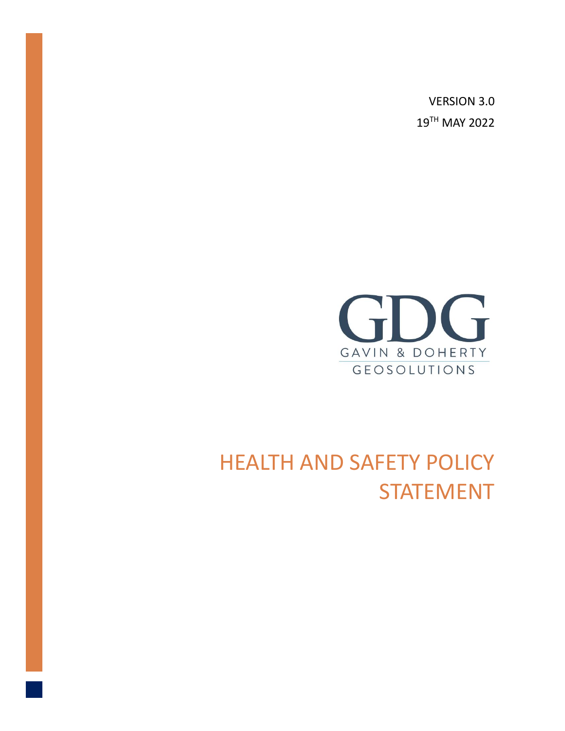VERSION 3.0 19 TH MAY 2022



# HEALTH AND SAFETY POLICY STATEMENT